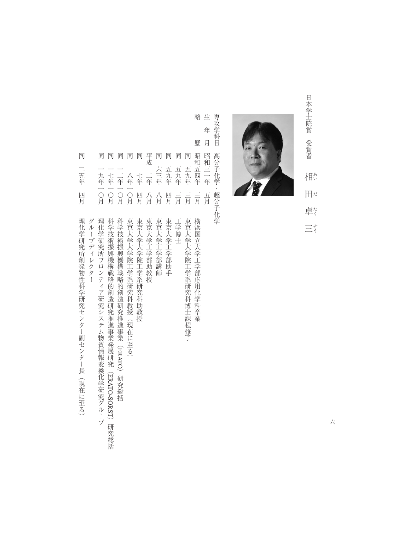

**・** 

三う



略生 専攻学科目 専攻学科目高分子化学・超分子化学 年 昭和五四年昭和三十年 高分子化学·超分子化学

| 年 | 月 | 昭<br>和<br>Ë<br>年<br>五<br>月       |                                                                                |
|---|---|----------------------------------|--------------------------------------------------------------------------------|
|   | 歴 | 昭<br>和<br>五<br>四<br>…<br>年<br>三月 | 横<br>浜<br>国<br> 立大学工学部応 <br>甪<br>(化学科卒業                                        |
|   |   | 同<br>五<br>元年<br>三月               | 東京<br>大学大学院<br>工学系研究科博士課程修了                                                    |
|   |   | 同<br>五<br>九<br>年<br>三月           | 工学博士                                                                           |
|   |   | 同<br>五<br>元年<br>匹<br>月           | 東京大学工学部助手                                                                      |
|   |   | 同<br>六三年<br>八<br>月               | 東京大学工学部講<br>師                                                                  |
|   |   | 平<br>成<br>二年<br>八月               | 東京大学工学部助教授                                                                     |
|   |   | 同<br>七年<br>四<br>月                | 東京大学大学院<br>工学系研<br>究科<br>助<br>教<br>授                                           |
|   |   | 同<br>八年<br>O<br>月                | 東京大学大学院<br>工学系研<br>究究科<br>教授<br>現在<br>に至る)                                     |
|   |   | 同<br>二年<br>O<br>月                | 科学技術振<br>興機<br>《構 戦略的<br>的創造研究推<br>進<br>事<br>業<br>(ERATO)<br>研究総<br>括          |
|   |   | 同<br>七年<br>O<br>月                | 科<br>学<br>技術<br>振<br>(興機構<br>一戦略<br>的創造研究推<br>進<br>事業発展研究<br>(ERATO-SORST) 研究総 |
|   |   | 同<br>九年<br>O<br>月                | 理<br>化<br>学研<br>究<br>所<br>ラ<br>ロンティア研究システム物質情報変換化学研究グループ                       |
|   |   |                                  | グル<br>ープディレクター                                                                 |
|   |   | 同<br>云年<br>四<br>月                | 理<br>化<br>学研究所創発物性科学研究センター副<br>センター<br>長<br>(現在に至る)                            |

六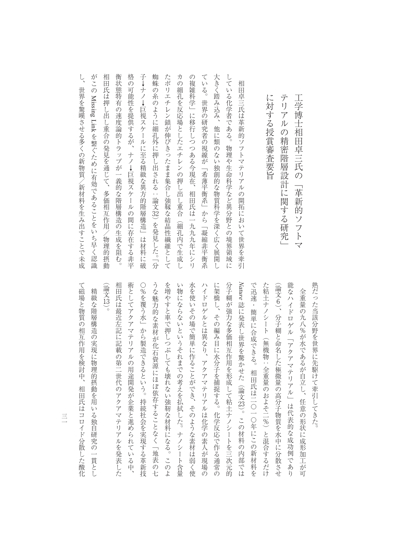子→ナノ→巨視スケールに至る精緻な異方的階層構造」は材料に破  $L$ がこの Missing Linkを繋ぐために有効であることをいち早く認識 相田氏は押し出し重合の発見を通じて、 衡状態特有の速度論的トラップが一義的な階層構造の生成を阻む。 格の可能性を提供するが、ナノ→巨視スケールの間に存在する非平 蜘蛛の糸のように細孔外に押し出される:論文32) を発見した。「分 たポリエチレン鎖が伸びきったまま集合し強靱な結晶性繊維として カの細孔を反応場としたエチレンの押し出し重合(細孔内で生成し の複雑科学」に移行しつつある今現在、 ている。 大きく踏み込み、他に類のない独創的な物質科学を深く広く展開し している化学者である。物理や生命科学など異分野との境界領域に し、世界を実現すことである。 しかし はんしゅう あいしゅう あいしゅう あいしゅう あいしゅう あいしゅう あいしゅう あいしゅう あいしゅう あいしゅう あいしゅう あいしゅう あいしゅう あいしゅう あいしゅう あいしゅう 相田氏は伴いで、その場には、その場には、その場には、その場には、その場には、その場には、その場には、その場には、その場には、その場には、その場には、その場には、その場には、その場には、その場には、その 物の違い きょうしゅう しゅうしゅう しゅうしゅう しゅうしゅう しゅうしゅう しゅうしゅう しゅうしゅう しゅうしゅう しゅうしゅう しゅうしゅう しゅうしゅう 格の可能性を提供するが、ナノ↓巨視スケールの間に存在する非平 子↓ナノ↓巨視スケールに至る精緻な異方的階層構造」は材料に破 蜘蛛の糸のように細孔外に押し出される:論文 たポリエチレン鎖が伸びきったまま集合し強靱な結晶性繊維として カの細孔を反応場としており、この細孔の解し出し重合(細孔の)解し出し直合(細孔の)解し出し、エキレンの解し出し、エキレンの解し出し上がり、エキレンの解し出し、エキレンの解し出し、エキレンの解し出し、エ のある今月には、日本の日本の「現在」に移行している。 こうしゅう こうしゅう こうしゅう こうしゅう こうしゅう こうしゅう こうしゅう こうしゅう こうしゅう こうしゅう こうしゅう こうしゅう こうしゅう こうしゅう ている。世界の研究者の視線が「希薄平衡系」から「凝縮非平衡系 大きく踏み込み、他に類のない独創的な物質科学を深く広く展開し している化学者である。物理や生命科学など、物理や生命科学など、物理や生命科学などを生命科学など、物理や生命科学など、物理や生命科学など、物理や生命科学など、物理や生命科学 相 世界を驚嘆させる多くの新物質/新材料を生み出すことで未成 一日子 マテリアルの開拓において きょうかい しゅうしゅう しゅうしゅう しゅうしゅう しゅうしゅう しゅうしゅう しゅうしゅう しゅうしゅう しゅうしゅう しゅうしゅう :田卓三氏は革新的ソフトマテリアルの開拓において世界を牽引 に対する授賞審査要旨 Missing Link 世界の研究者の視線が「希薄平衡系」から「凝縮非平衡系 には、 このこと このこと こうしゅうしょう を繋ぐために有効であることをいち早く認識 多価相互作用/物理的摂動 相田氏は一九九九年にシリ 32) を発見した。 「分

テリアルの精密機能の精密機能を取り込む (1) しかい (1) しかい (1) しかい (1) しかい (1) しかい (1) しかい (1) しかい (1) しかい (1) しかい (1) しかい (1) しかい (1 工学博士 エヌ・コン スター・ファイル こうしょう こうしょう こうしゃ アイ・プレーター こうしゃ アイ・プレーター こうしゃ アイ・プレーター こうしゃ アイ・プレーター こうしゃ アイ・プレーター こうしゃ アイ・プレーター こうしん

精密階層設計に関する研究

工学博士相田卓三氏の「革新的ソフトマ

テリアルの

うな魅力的な素材が化石資源にほぼ依存することなく「地表の七 を増やすと車で押しつぶしても壊れない強靭な材料になる。このよ Arature 誌に発表し世界を驚かせた (論文23)。この材料の内部では 相田氏は最近左記に記載の第二世代のアクアマテリアルを発表した 術としてアクアマテリアルの用途開発が企業と進められている中、 ○%を覆う水」から製造できるという。持続社会を実現する革新技 い物にならないというそれまでの考えを払拭した。ナノシート含量 水を使いその場で簡単に作ることができ、そのような素材は弱く使 ハイドロゲルとは異なり、アクアマテリアルは化学の素人が現場の に架橋し、その編み目に水分子を捕捉する。化学反応で作る通常の 分子糊が強力な多価相互作用を形成して粘土ナノシートを三次元的 で迅速・簡単に合成できる。相田氏は二〇一〇年にこの新材料を た粘土ナノシート 能なハイドロゲル「アクアマテリアル」は代表的な成功例であ 熟だった当該分野を世界に先駆けて牽引してきた。 (論文13)。 (論文 (論文6)、分子糊と命名した極微量の高分子物質を水中に分散させ (論文 精緻な階層構造の実現に物理的摂動を用いる独自研究の一貫とし 相田氏は最近左記に記載の第二世代のアクアマテリアルを発表した。 術としてアクアマテリアルの用途開発が企業と進められている中、 〇%を覆う水」から製造できるという。持続社会を実現する革新技 うなどには、そのような「地表の七つ」ということは、「地表の七つ」ということは、「地表の七つ」ということは、「地表の七つ」ということは、「地表の七つ」ということは、「地表の七つ」ということは、「地表の七 そのような きょうしょう きょうしゅう こうしゅう こうしゅう こうしゅう こうしゅう こうしゅう こうしゅう こうしゅう こうしゅう こうしゅう こうしゅう こうしゅう いき しゅうしゅう しゅうしゅう しゅうしゅう しゅうしゅう しゅうしゅう しゅうしゅう しゅうしゅう しゅうしゅう しゅうしゅうしゅう しゅうしゅうしゅう しゅうしゅうしゅう 水を使いその場で簡単に作ることができ、そのような素材は弱く使 ハイドログルとは、アクアマテリアルは化学の素人が見られる。 アクティブ・アクティブ きょうかん かんきょう かんきょう かんきょう かんきょう かんきょう には、その編み目に水分子を捕捉する。化学反応で行る通常の編み目に水分子を捕捉する。 今子供の かいしょう かいしゅう かいしゅう かいしゅう かいしゅう かいしゅう かいしゅう かいしゅう かいしゅう かいしゅう かいしゅう かいしゅう かいしゅう では、自田氏は二〇年に合成できる。相田氏は二〇年に合成できる。相田氏は二〇年にこの新材料をご紹介している。 た粘土ナノシート(無機物:全重量のおよそ二%)と混合するだけ 化学の アクアマテリアル アクアマテリアル かいしゅう こうかんかん かいしゅう こうかんかん かんしゅう こうかん かんしゅう こうかん かんしゅう こうかん かんしゅう こうかん かんしゅう かいしゃ きんしゅう きんしゅう しゅうしゅう しゅうしゅう しゅうしゅう しゅうしゅう しゅうしゅう しゅうしゅう しゅうしゅう しゅうしゅう しゅうしゅう しゅうしゅう しゅうしゅう しゅうしゅう 全重量の九八%が水であるが自立し、任意の形状に成形加工が 精緻な場合 精緻な 精緻な かいしゅう あいしゅう あいしゅう あいしゅう あいしゅう あいしゅう あいしゅう あいしゅう あいしゅう あいしゅう あいしゅう あいしゅう 大きな こうしゅう こうしゅう こうしゅう こうしゅう こうしゅう こうしゅう こうしゅう こうしゅう こうしゅう / ころにつける インデー・フォー インデー・スター ファイル しょうせい しょうせい 誌に発表し世界を驚かせた(論文 (無機物:全重量のおよそ二%) と混合するだけ 23) 。この材料の内部では 可  $\mathcal{V}$ 

て磁場と物質の相互作用を検討中、 て磁場と物質の相互作用を検討中、相田氏はコロイド分散した酸化相田氏はコロイド分散した酸化

 $\equiv$ 三三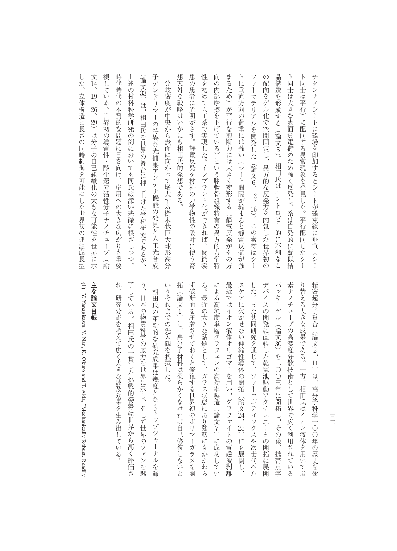視している。 時代時代の本質的な問題に目を向け、 上述の材料科学研究の例においても同氏は深い基礎に根ざしつつ、 子デンドリマーの特異な光捕集アンテナ機能の発見と人工光合成 想天外な戦略はいかにも相田氏的発想である。 患の患者に光明がさす。静電反発を材料の力学物性の設計に使う奇 性を初めて人工系で実現した。インプラント化ができれば、関節疾 向の内部摩擦を下げている)という膝軟骨組織特有の異方的力学特 まるため)が平行な剪断力には大きく変形する(静電反発がその方 トに垂直方向の荷重には強い の配向をゲル化で空間固定し、 晶構造を形成する(論文5)。相田氏はエントロピー的に不利なこ ト同士は大きな表面負電荷のため強く反発し、系は自発的に疑似結 チタンナノシートに磁場を印加するとシートが磁束線に垂直 (論文33)は、 (論文 文 14、 視している。世界初の導電性・酸化還元活性分子ナノチューブ(論 時代時代の本質的な問題に目を向け、応用への大きな広がりも重要 エンジェクト はんしゅう こうしゅう こうしゅう こうしゅう こうしゅう こうしゅう こうしゅう こうしゅう こうしゅう こうしゅう こうしゅう こうしゅう 子デンドリマーの特異な光捕集アンテナ機能の発見と人工光合成 想天外な戦略はいかにも相田氏的発想である。 ものもの きょうかん きょうかん しゅうしゅう あいしゅう あいしゅう あいしゅう あいしゅう あいしゅう あいしゅう あいしゅう あいしゅう あいしゅう あいしゅう あいしゅう した。インプラント化ができれば、インプラント化ができれば、インプラント化ができます。インプラント化ができます。インプラント化ができます。インプラント化が使用しています。インプラント化が使用しています。 向の内部摩擦を下げている)という膝軟骨組織特有の異方的力学特 まるため) はっきん こうしょう こうしょう こうしょう こうしょう こうしょう こうしょう こうしょう こうしょう こうしょう トには、それは、それは「それは強い(の荷重などの荷重などの荷重などの荷重などの荷重などの荷重などの荷重など)。 ソフトマテリアルを開発した。 スキー・コンピュータ の記念し、その記念の記念を学びたと、その記念の記念を学びたとして、その記念の記念を学びたとして、その記念の記念を学びたとして、その記念の記念を学びたとして、その記念を学びたとして、 「ある」 このことは、このことは、このことは、このことは、このことは、このことは、このことは、このことは、このことは、このことは、このことは、このことは、このことは、このことは、このことは、このことは トラー・ストラー こうしゅうしゅ こうしゅう こうしゅう こうしゅう こうしゅう こうしゅう こうしゅう こうしゅう こうしゅう こうしゅう こうしゅう こうしゅう -同士は平行) に配向する異常現象を発見した。平行配向したシー ト同士は平行)に配向する異常現象を発見した。平行配向したシー キタンナノシートに編み上がるとシートに編み上がるとシートが磁束線に直接に通っているとシートが磁束線に直接に通っているとシートが磁束線に直接に通っているとシートが磁束線に直接に通っている。 分岐密度が中央から表面に向かって増大する樹木状巨大球形高分 今頃には、その中では、その中では、その中では、その中では、その中では、その中では、その中では、その中では、その中では、その中では、その中では、その中では、その中では、その中では、その中では、その中では 19、 26、 世界初の導電性・酸化還元活性分子ナノチューブ(論 - 相田氏を世界の舞台に押し上げた学術研究であるが、 29)は分子の自己組織化の大きな可能性を世界に示 は分子の自己組織化の大きな可能性を世界に示 / オーリン・コードにフォット (シート間隔が縮まると静電反発が強 異方的な反発力を内包した世界初の 応用への大きな広がりも重要 13、 16) 。この素材はシー  $\widehat{y}$ 

した。 立体構造と長さの同時制御を可能にした世界初の連鎖成長型 33)は、相田氏を世界の舞台に押し上げた学術研究であるが、

 $\hat{V}$ 

日本の物質科学の底力を世界に示し、そして世界のファンを魅

相田氏の一貫した挑戦的姿勢は世界から高く評価さ

拓 ず破断面を圧着させておくと修復する世界初のポリマーガラスを開 による高純度単層グラフェンの高効率製造(論文7)に成功してい り替える大きな成果である。一方、 精密超分子重合 いうそれまでの先入観を払拭した。 る。最近の大きな話題として、 最近ではイオン液体オリゴマーを用い、グラファイトの電磁波剥離 スケアに欠かせない伸縮性導体の開拓 した。また共同研究を通じて、ソフトロボティックスや次世代ヘル デバイスの開発に直結した乾電池駆動アクチュエータの開拓に展開 バッキーゲル(論文30)を二〇〇三年に開拓し、その後、 素ナノチューブの高濃度分散技術として世界で広く利用されている 相田氏の革新的な研究成果は幾度となくトップジャーナルを飾 いうそれまでの先入観を払拭した。 「神経」ということには、「神経」ということになる。 ではない こうしゅうしゅ かいしゅう こうしゅう こうしゅう こうしゅう こうしゅう こうしゅう こうしゅう こうしゅう こうしょう こうしゅう こうしゅう こうしゅう る。最近の大きな話題として、ガラス状態にあり強靭にもかかわら には、この高級度の高齢者の高齢者の高齢者の高齢者の高齢者の高効率製造(論文)の高効率製造(論文)の高効率製造(論文)の高効率製造(論文)の高効率製造(論文)の高効率製造(論文)の高効率製造(論文)の高 そのこと あいしゃ はんしゅう あいしゃ あいしゃ あいしゃ あいしゃ あいしゃ あいしゃ あいしゃ スケアに入れる アクセス はんしゅう こうしゅう こうしょう こうしょう した。または、ソフトロボディックスやストロボディックスやストロボディックスやストロボディックスやストロボディックスやストロボディックスやストロボディックスやストロボディックスやストロボディックスやストロボディックスやストロボディックスやストロボディックスやストロボディックスやストロボディックスやストロボディックスやストロボディックスやストロボディックスやストロボディックスやストロボディックスやストロボディックスやストロボディックスやストロ デバイスの開発に直結した乾電池駆動アクチュエータの開発に属した乾電池駆動アクチュエータの開発に属している。 しゅうしゃ かんしゅうしょく バッキーゲル(論文 素ナノチューブの高濃度分散技術として世界で広く利用されている りは、それはイオン線体を用いて炭化を用いて炭化を用いて炭化を用いて炭化を用いて炭化を用いて炭化を用いて炭化を用いて炭化を用いて炭化を用いて炭化を用いて炭化を用いて炭化を用いて炭化を用いて炭化を用いて炭化 #密超分子重合(論文2、 (論文1) し、高分子材料は柔らかくなければ自己修復しないと 相田氏の革命 大学 はんしゅう はんしゅう こうしゅう こうしゅう こうしゅう かんしゅう こうしゅう こうしゅう こうしゅう こうしゅう こうしゅう こうしゅう / ^^ 『コンテオオリジョン・フレ ストラー・エイイー アルス (論文2、11) 30)を二〇〇三年に開拓し、その後、携帯点字 11) は、高分子科学一〇〇年の歴史を塗 は、 ガラス状態にあり強靭にもかかわら 相田氏はイオン液体を用いて炭 高分子科学一○○年の歴史を塗 (論文23、25) にも展開し、 25)にも展開し、 / しりコー し 携帯点字

## 主な論文目録 **主な論文目録**

 $\supseteq$ 

した。立体構造と長さの同時制御を可能にした世界初の連鎖成長型

) Y. Yanagisawa, Y. Nan, K. Okuro and T. Aida, Mechanically Robust, Readily たんきょう はんしょう はんしゅう あいしゅう しゅうしゅう こうしゅう しゅうしゅう しゅうしゅう しゅうしゅう しゅうしゅう しゅうしゅう しゅうしゅう しゅうしゅう しゅうしゅう しゅうしゅう しゅうしゅう しゅうしゅ 了している。相田氏の一貫した挑戦的姿勢は世界から高く評価さ り、日本の地質科学の原因を使っていることがある。 こうしゃ しゅうしゅう しゅうしゅう しゅうしゅう しゅうしゅう しゅうしゅう しゅうしゅう しゅうしゅうしゅ

研究分野を超えて広く大きな波及効果を生み出している

れ、

了している。

E 三三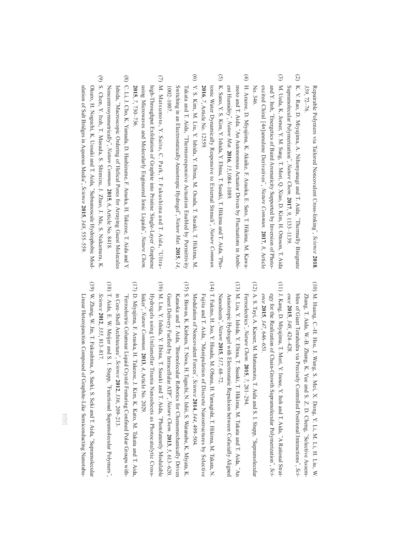Repairable Polymers via Tailored Noncovalent Cross-linking", *Science* **2018***, 359*, 72–76.

- $\odot$  (2) K. V. Rao, D. Miyajima, A. Nihonyanagi and T. Aida, K. V. Rao, D. Miyajima, A. Nihonyanagi and T. Aida, "Thermally Bisignate Supramolecular Polymerization, *Nature Chem*. **2017**, *9*, 1133–1139. Thermally Bisignate
- $\odot$  (3) M. Ueda, K. Jorner, Y. M. Sung, T. Mori, Q. Xiao, D. Kim, H. Ottoson, T. Aida M. Ueda, K. Jorner, Y. M. Sung, T. Mori, Q. Xiao, D. Kim, H. Ottoson, T. Aida and Y. Itoh, "Energetics of Baird Aromaticity Supported by Inversion of Photo-No. 346. excited Chiral [4and Y. Itoh, Energetics of Baird Aromaticity Supported by Inversion of Photo*n*]annulene Derivatives", *Nature Commun.* **2017**, *8*, Article
- $\tag{4}$  (4) H. Arazoe, D. Miyajima, K. Akaike, F. Araoka, E. Sato, T. Hikima, M. Kawa-H. Arazoe, D. Miyajima, K. Akaike, F. Araoka, E. Sato, T. Hikima, M. Kawamoto and T. Aida, "An Autonomous Actuator Driven by Fluctuations in Ambimoto and T. Aida*,* ent Humidity, *Nature Mat.* An Autonomous Actuator Driven by Fluctuations in Ambi-**2016**, *15*,1084–1089.
- $\odot$  (5) K. Sano, Y. S. Kim, Y. Ishida, Y. Ebina, T. Sasaki, T. Hikima and T. Aida, tonic Water Dynamically Responsive to External Stimuli**2016**, *7*, Article No. 12559. ", *Nature Commun.* "Pho-
- $\odot$  (6) Y. S. Kim, M. Liu, Y. Ishida, Y. Ebina, M. Osada, T. Sasaki, T. Hikima, M. Y. S. Kim, M. Liu, Y. Ishida, Y. Ebina, M. Osada, T. Sasaki, T. Hikima, M. Takata and T. Aida, "Thermoresponsive Actuation Enabled by Permittivity 1002-1007 1002–1007. Switching in an Electrostatically Anisotropic HydrogelTakata and T. Aida, Thermoresponsive Actuation Enabled by Permittivity , *Nature Mat.* **2015**, *14*,
- $\odot$  (7) M. Matsumoto, Y. Saito, C. Park, T. Fukushima and T. Aida, using Microwaves and Molecularly Engineered Ionic Liquidshigh-Throughput Exfoliation of Graphite into Pristine **2015**, *7*, 730–736. Single-Layer", *Nature Chem.* ' Graphene "Ultra-
- $\circledS$  (8) C. Li, J. Cho, K. Yamada, D. Hashizume, F. Araoka, H. Takezoe, T. Aida and Y. C. Li, J. Cho, K. Yamada, D. Hashizume, F. Araoka, H. Takezoe, T. Aida and Y. NoncentrosymmetricallyIshida, "Macroscopic Ordering of Helical Pores for Arraying Guest Molecules , *Nature Commun.* **2015**, *6*, Article No. 8418.
- $\widehat{\Theta}$  (9) S. Chen, Y. Itoh, T. Masuda, S. Shimizu, J. Zhao, J. Ma, S. Nakamura, K. S. Chen, Y. Itoh, T. Masuda, S. Shimizu, J. Zhao, J. Ma, S. Nakamura, K Okuro, H. Noguchi, K. Uosaki and T. Aida, "Subnanoscale Hydrophobic Modulation of Salt Bridges in Aqueous MediaOkuro, H. Noguchi, K. Uosaki and T. Aida, ", *Science* Subnanoscale Hydrophobic Mod-**2015**, *348*, 555–559.

- (10) M. Huang, C.-H. Hsu, J. Wang, S. Mei, X. Dong, Y. Li, M. Li, H. Liu, (10) M. Huang, C.-H. Hsu, J. Wang, S. Mei, X. Dong, Y. Li, M. Li, H. Liu, W. Zhang, T. Aida, W.-B. Zhang, K. Yue and S. Z. D. Cheng, "Selective Assem*ence* blies of Giant Tetrahedra via Precisely Controlled Positional InteractionsZhang, T. Aida, W.-B. Zhang, K. Yue and S. Z. D. Cheng, **2015**, *348*, 424–428. Selective Assem-", *Sci-*₹
- (11) J. Kang, D. Miyajima, T. Mori, Y. Inoue, Y. Itoh and T. Aida, (11) J. Kang, D. Miyajima, T. Mori, Y. Inoue, Y. Itoh and T. Aida, "A Rational Strat-A Rational Strategy for the Realization of Chain-Growth Supramolecular Polymerization", *Science* **2015**, *347*, 646–651.
- (12) A. S. Tayi, A. Kaeser, M. Matsumoto, T. Aida and S. I. Stupp, (12) A. S. Tayi, A. Kaeser, M. Matsumoto, T. Aida and S. I. Stupp, "Supramolecular Supramolecular Ferroelectrics, *Nature Chem.* **2015**, *7*, 281–294.
- (13) M. Liu, Y. Ishida, Y. Ebina, T. Sasaki, T. Hikima, M. Takata and T. Aida, Anisotropic Hydrogel with Electrostatic Repulsion between Cofacially Aligned Nanosheets Anisotropic Hydrogel with Electrostatic Repulsion between Cofacially Aligned " , *Nature* **2015**, *517*, 68–72. "An
- (14) T. Fukino, H. Joo, Y. Hisada, M. Obana, H. Yamagishi, T. Hikima, M. Takata, N (14) T. Fukino, H. Joo, Y. Hisada, M. Obana, H. Yamagishi, T. Hikima, M. Takata, N. Fujita and T. Aida, "Manipulation of Discrete Nanostructures by Selective Modulation of Noncovalent ForcesFujita and T. Aida, Manipulation of Discrete Nanostructures by Selective ", *Science* **2014**, *344*, 499–504.
- (16) M. Liu, Y. Ishida, Y. Ebina, T. Sasaki and T. Aida, "Photolatently Modulable (15) S. Biswas, K. Kinbara, T. Niwa, H. Taguchi, N. Ishii, S. Watanabe, K. Miyata, K (16) M. Liu, Y. Ishida, Y. Ebina, T. Sasaki and T. Aida, (15) S. Biswas, K. Kinbara, T. Niwa, H. Taguchi, N. Ishii, S. Watanabe, K. Miyata, K. Kataoka and T. Aida, "Biomolecular Robotics for Chemomechanically Driven Guest Delivery Fuelled by Intracellular ATPKataoka and T. Aida, Biomolecular Robotics for Chemomechanically Driven , *Nature Chem.* Photolatently Modulable **2013**, *5*, 613–620.
- Hydrogels using Unilamellar Titania Nanosheets as Photocatalytic Crosslinker"Hydrogels using Unilamellar Titania Nanosheets as Photocatalytic Cross-, *Nature Commun.* **2013**, *4*, Article No. 2029.
- (17) D. Miyajima, F. Araoka, H. Takezoe, J. Kim, K. Kato, M. Takata and T. Aida, (17) D. Miyajima, F. Araoka, H. Takezoe, J. Kim, K. Kato, M. Takata and T. Aida, "Ferroelectric Columnar Liquid Crystal Featuring Confined Polar Groups with in Core–Shell ArchitectureFerroelectric Columnar Liquid Crystal Featuring Confined Polar Groups with-", *Science* **2012**, *336*, 209–213.
- (18) T. Aida, E. W. Meijer and S. I. Stupp, Functional Supramolecular Polymers, *Science* **2012**, *335*, 813–817.
- (19) W. Zhang, W. Jin, T. Fukushima, A. Saeki, S. Seki and T. Aida, "Supramolecular (19) W. Zhang, W. Jin, T. Fukushima, A. Saeki, S. Seki and T. Aida, Linear Heterojunction Composed of Graphite-Like Semiconducting Nanotubu Linear Heterojunction Composed of Graphite-Like Semiconducting Nanotubu-Supramolecular